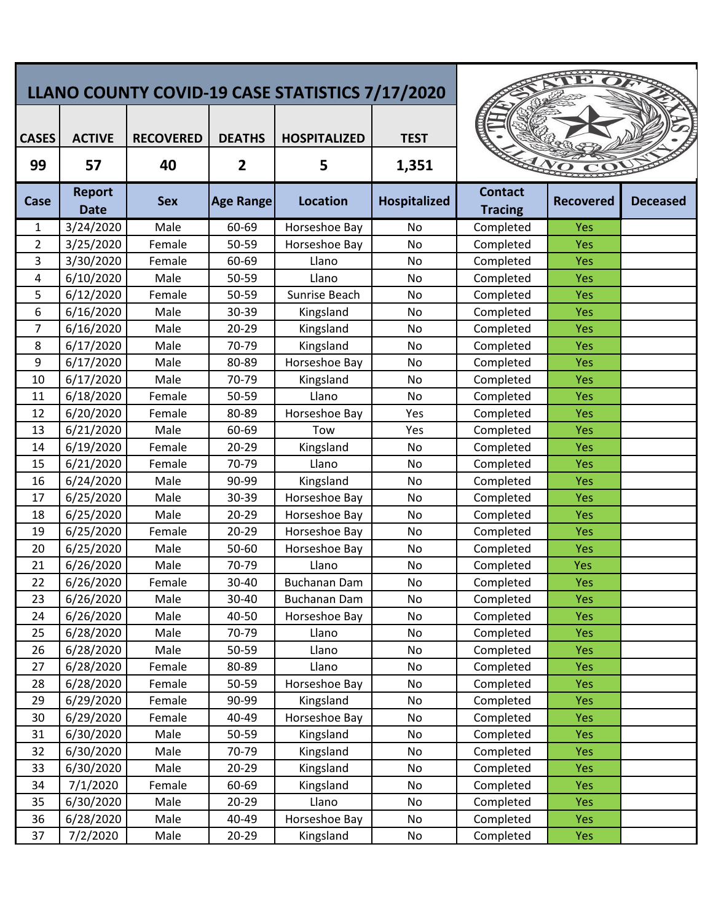| LLANO COUNTY COVID-19 CASE STATISTICS 7/17/2020 |                              |                  |                  |                     |                     |                                  |                  |                 |
|-------------------------------------------------|------------------------------|------------------|------------------|---------------------|---------------------|----------------------------------|------------------|-----------------|
| <b>CASES</b>                                    | <b>ACTIVE</b>                | <b>RECOVERED</b> | <b>DEATHS</b>    | <b>HOSPITALIZED</b> | <b>TEST</b>         |                                  |                  |                 |
| 99                                              | 57                           | 40               | $\overline{2}$   | 5                   | 1,351               |                                  |                  |                 |
| Case                                            | <b>Report</b><br><b>Date</b> | <b>Sex</b>       | <b>Age Range</b> | <b>Location</b>     | <b>Hospitalized</b> | <b>Contact</b><br><b>Tracing</b> | <b>Recovered</b> | <b>Deceased</b> |
| 1                                               | 3/24/2020                    | Male             | 60-69            | Horseshoe Bay       | No                  | Completed                        | Yes              |                 |
| $\overline{2}$                                  | 3/25/2020                    | Female           | 50-59            | Horseshoe Bay       | No                  | Completed                        | Yes              |                 |
| 3                                               | 3/30/2020                    | Female           | 60-69            | Llano               | <b>No</b>           | Completed                        | Yes              |                 |
| 4                                               | 6/10/2020                    | Male             | 50-59            | Llano               | No                  | Completed                        | Yes              |                 |
| 5                                               | 6/12/2020                    | Female           | 50-59            | Sunrise Beach       | No                  | Completed                        | Yes              |                 |
| 6                                               | 6/16/2020                    | Male             | 30-39            | Kingsland           | No                  | Completed                        | Yes              |                 |
| $\overline{7}$                                  | 6/16/2020                    | Male             | 20-29            | Kingsland           | No                  | Completed                        | Yes              |                 |
| 8                                               | 6/17/2020                    | Male             | 70-79            | Kingsland           | No                  | Completed                        | Yes              |                 |
| 9                                               | 6/17/2020                    | Male             | 80-89            | Horseshoe Bay       | No                  | Completed                        | Yes              |                 |
| 10                                              | 6/17/2020                    | Male             | 70-79            | Kingsland           | No                  | Completed                        | Yes              |                 |
| 11                                              | 6/18/2020                    | Female           | 50-59            | Llano               | No                  | Completed                        | Yes              |                 |
| 12                                              | 6/20/2020                    | Female           | 80-89            | Horseshoe Bay       | Yes                 | Completed                        | Yes              |                 |
| 13                                              | 6/21/2020                    | Male             | 60-69            | Tow                 | Yes                 | Completed                        | Yes              |                 |
| 14                                              | 6/19/2020                    | Female           | 20-29            | Kingsland           | No                  | Completed                        | Yes              |                 |
| 15                                              | 6/21/2020                    | Female           | 70-79            | Llano               | No                  | Completed                        | Yes              |                 |
| 16                                              | 6/24/2020                    | Male             | 90-99            | Kingsland           | <b>No</b>           | Completed                        | Yes              |                 |
| 17                                              | 6/25/2020                    | Male             | 30-39            | Horseshoe Bay       | No                  | Completed                        | Yes              |                 |
| 18                                              | 6/25/2020                    | Male             | 20-29            | Horseshoe Bay       | No                  | Completed                        | Yes              |                 |
| 19                                              | 6/25/2020                    | Female           | 20-29            | Horseshoe Bay       | No                  | Completed                        | Yes              |                 |
| 20                                              | 6/25/2020                    | Male             | 50-60            | Horseshoe Bay       | No                  | Completed                        | Yes              |                 |
| 21                                              | 6/26/2020                    | Male             | 70-79            | Llano               | No                  | Completed                        | Yes              |                 |
| 22                                              | 6/26/2020                    | Female           | 30-40            | Buchanan Dam        | No                  | Completed                        | Yes              |                 |
| 23                                              | 6/26/2020                    | Male             | 30-40            | Buchanan Dam        | No                  | Completed                        | Yes              |                 |
| 24                                              | 6/26/2020                    | Male             | 40-50            | Horseshoe Bay       | No                  | Completed                        | <b>Yes</b>       |                 |
| 25                                              | 6/28/2020                    | Male             | 70-79            | Llano               | No                  | Completed                        | Yes              |                 |
| 26                                              | 6/28/2020                    | Male             | 50-59            | Llano               | No                  | Completed                        | <b>Yes</b>       |                 |
| 27                                              | 6/28/2020                    | Female           | 80-89            | Llano               | No                  | Completed                        | <b>Yes</b>       |                 |
| 28                                              | 6/28/2020                    | Female           | 50-59            | Horseshoe Bay       | No                  | Completed                        | <b>Yes</b>       |                 |
| 29                                              | 6/29/2020                    | Female           | 90-99            | Kingsland           | No                  | Completed                        | <b>Yes</b>       |                 |
| 30                                              | 6/29/2020                    | Female           | 40-49            | Horseshoe Bay       | No                  | Completed                        | Yes              |                 |
| 31                                              | 6/30/2020                    | Male             | 50-59            | Kingsland           | No                  | Completed                        | <b>Yes</b>       |                 |
| 32                                              | 6/30/2020                    | Male             | 70-79            | Kingsland           | No                  | Completed                        | <b>Yes</b>       |                 |
| 33                                              | 6/30/2020                    | Male             | 20-29            | Kingsland           | No                  | Completed                        | Yes              |                 |
| 34                                              | 7/1/2020                     | Female           | 60-69            | Kingsland           | No                  | Completed                        | <b>Yes</b>       |                 |
| 35                                              | 6/30/2020                    | Male             | $20 - 29$        | Llano               | No                  | Completed                        | Yes              |                 |
| 36                                              | 6/28/2020                    | Male             | 40-49            | Horseshoe Bay       | No                  | Completed                        | <b>Yes</b>       |                 |
| 37                                              | 7/2/2020                     | Male             | $20 - 29$        | Kingsland           | No                  | Completed                        | Yes              |                 |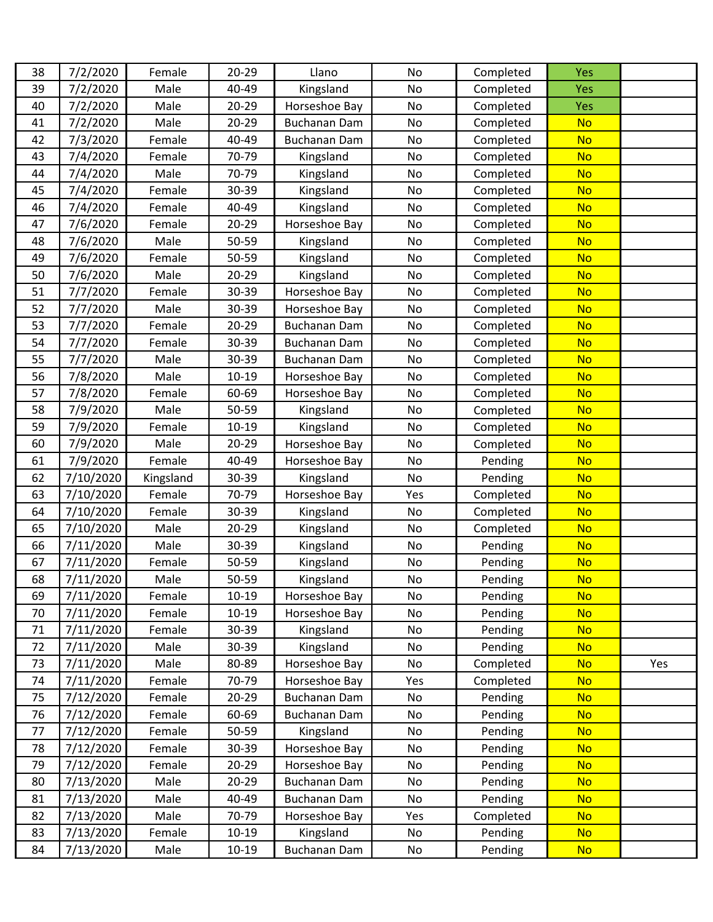| 38 | 7/2/2020  | Female    | 20-29     | Llano               | No  | Completed | Yes       |     |
|----|-----------|-----------|-----------|---------------------|-----|-----------|-----------|-----|
| 39 | 7/2/2020  | Male      | 40-49     | Kingsland           | No  | Completed | Yes       |     |
| 40 | 7/2/2020  | Male      | $20 - 29$ | Horseshoe Bay       | No  | Completed | Yes       |     |
| 41 | 7/2/2020  | Male      | 20-29     | <b>Buchanan Dam</b> | No  | Completed | <b>No</b> |     |
| 42 | 7/3/2020  | Female    | 40-49     | <b>Buchanan Dam</b> | No  | Completed | <b>No</b> |     |
| 43 | 7/4/2020  | Female    | 70-79     | Kingsland           | No  | Completed | <b>No</b> |     |
| 44 | 7/4/2020  | Male      | 70-79     | Kingsland           | No  | Completed | <b>No</b> |     |
| 45 | 7/4/2020  | Female    | 30-39     | Kingsland           | No  | Completed | <b>No</b> |     |
| 46 | 7/4/2020  | Female    | 40-49     | Kingsland           | No  | Completed | <b>No</b> |     |
| 47 | 7/6/2020  | Female    | $20 - 29$ | Horseshoe Bay       | No  | Completed | <b>No</b> |     |
| 48 | 7/6/2020  | Male      | 50-59     | Kingsland           | No  | Completed | <b>No</b> |     |
| 49 | 7/6/2020  | Female    | 50-59     | Kingsland           | No  | Completed | <b>No</b> |     |
| 50 | 7/6/2020  | Male      | $20 - 29$ | Kingsland           | No  | Completed | <b>No</b> |     |
| 51 | 7/7/2020  | Female    | 30-39     | Horseshoe Bay       | No  | Completed | <b>No</b> |     |
| 52 | 7/7/2020  | Male      | 30-39     | Horseshoe Bay       | No  | Completed | <b>No</b> |     |
| 53 | 7/7/2020  | Female    | 20-29     | <b>Buchanan Dam</b> | No  | Completed | <b>No</b> |     |
| 54 | 7/7/2020  | Female    | 30-39     | Buchanan Dam        | No  | Completed | <b>No</b> |     |
| 55 | 7/7/2020  | Male      | 30-39     | Buchanan Dam        | No  | Completed | <b>No</b> |     |
| 56 | 7/8/2020  | Male      | $10 - 19$ | Horseshoe Bay       | No  | Completed | <b>No</b> |     |
| 57 | 7/8/2020  | Female    | 60-69     | Horseshoe Bay       | No  | Completed | <b>No</b> |     |
| 58 | 7/9/2020  | Male      | 50-59     | Kingsland           | No  | Completed | <b>No</b> |     |
| 59 | 7/9/2020  | Female    | $10-19$   | Kingsland           | No  | Completed | <b>No</b> |     |
| 60 | 7/9/2020  | Male      | $20 - 29$ | Horseshoe Bay       | No  | Completed | <b>No</b> |     |
| 61 | 7/9/2020  | Female    | 40-49     | Horseshoe Bay       | No  | Pending   | <b>No</b> |     |
| 62 | 7/10/2020 | Kingsland | 30-39     | Kingsland           | No  | Pending   | <b>No</b> |     |
| 63 | 7/10/2020 | Female    | 70-79     | Horseshoe Bay       | Yes | Completed | <b>No</b> |     |
| 64 | 7/10/2020 | Female    | 30-39     | Kingsland           | No  | Completed | <b>No</b> |     |
| 65 | 7/10/2020 | Male      | 20-29     | Kingsland           | No  | Completed | <b>No</b> |     |
| 66 | 7/11/2020 | Male      | 30-39     | Kingsland           | No  | Pending   | <b>No</b> |     |
| 67 | 7/11/2020 | Female    | 50-59     | Kingsland           | No  | Pending   | <b>No</b> |     |
| 68 | 7/11/2020 | Male      | 50-59     | Kingsland           | No  | Pending   | <b>No</b> |     |
| 69 | 7/11/2020 | Female    | $10 - 19$ | Horseshoe Bay       | No  | Pending   | <b>No</b> |     |
| 70 | 7/11/2020 | Female    | $10 - 19$ | Horseshoe Bay       | No  | Pending   | <b>No</b> |     |
| 71 | 7/11/2020 | Female    | 30-39     | Kingsland           | No  | Pending   | <b>No</b> |     |
| 72 | 7/11/2020 | Male      | 30-39     | Kingsland           | No  | Pending   | <b>No</b> |     |
| 73 | 7/11/2020 | Male      | 80-89     | Horseshoe Bay       | No  | Completed | <b>No</b> | Yes |
| 74 | 7/11/2020 | Female    | 70-79     | Horseshoe Bay       | Yes | Completed | <b>No</b> |     |
| 75 | 7/12/2020 | Female    | 20-29     | Buchanan Dam        | No  | Pending   | <b>No</b> |     |
| 76 | 7/12/2020 | Female    | 60-69     | Buchanan Dam        | No  | Pending   | <b>No</b> |     |
| 77 | 7/12/2020 | Female    | 50-59     | Kingsland           | No  | Pending   | <b>No</b> |     |
| 78 | 7/12/2020 | Female    | 30-39     | Horseshoe Bay       | No  | Pending   | <b>No</b> |     |
| 79 | 7/12/2020 | Female    | $20 - 29$ | Horseshoe Bay       | No  | Pending   | <b>No</b> |     |
| 80 | 7/13/2020 | Male      | 20-29     | Buchanan Dam        | No  | Pending   | <b>No</b> |     |
| 81 | 7/13/2020 | Male      | 40-49     | Buchanan Dam        | No  | Pending   | <b>No</b> |     |
| 82 | 7/13/2020 | Male      | 70-79     | Horseshoe Bay       | Yes | Completed | <b>No</b> |     |
| 83 | 7/13/2020 | Female    | $10 - 19$ | Kingsland           | No  | Pending   | <b>No</b> |     |
| 84 | 7/13/2020 | Male      | $10 - 19$ | Buchanan Dam        | No  | Pending   | <b>No</b> |     |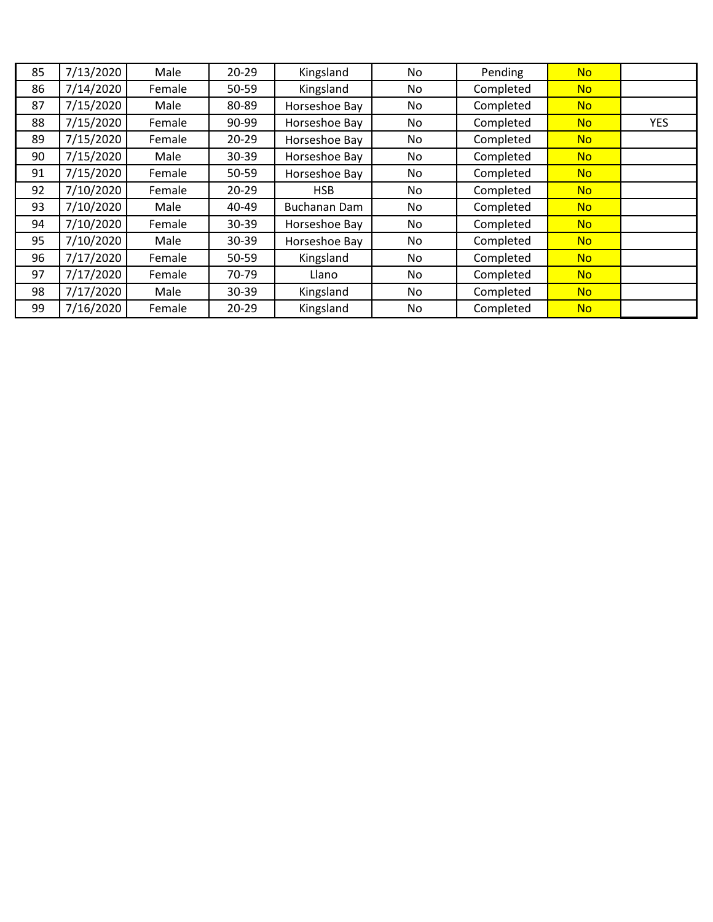| 85 | 7/13/2020 | Male   | $20 - 29$ | Kingsland     | No | Pending   | <b>No</b> |            |
|----|-----------|--------|-----------|---------------|----|-----------|-----------|------------|
| 86 | 7/14/2020 | Female | 50-59     | Kingsland     | No | Completed | <b>No</b> |            |
| 87 | 7/15/2020 | Male   | 80-89     | Horseshoe Bay | No | Completed | <b>No</b> |            |
| 88 | 7/15/2020 | Female | 90-99     | Horseshoe Bay | No | Completed | <b>No</b> | <b>YES</b> |
| 89 | 7/15/2020 | Female | $20 - 29$ | Horseshoe Bay | No | Completed | <b>No</b> |            |
| 90 | 7/15/2020 | Male   | $30 - 39$ | Horseshoe Bay | No | Completed | <b>No</b> |            |
| 91 | 7/15/2020 | Female | 50-59     | Horseshoe Bay | No | Completed | <b>No</b> |            |
| 92 | 7/10/2020 | Female | $20 - 29$ | HSB.          | No | Completed | <b>No</b> |            |
| 93 | 7/10/2020 | Male   | 40-49     | Buchanan Dam  | No | Completed | <b>No</b> |            |
| 94 | 7/10/2020 | Female | 30-39     | Horseshoe Bay | No | Completed | <b>No</b> |            |
| 95 | 7/10/2020 | Male   | 30-39     | Horseshoe Bay | No | Completed | <b>No</b> |            |
| 96 | 7/17/2020 | Female | 50-59     | Kingsland     | No | Completed | <b>No</b> |            |
| 97 | 7/17/2020 | Female | 70-79     | Llano         | No | Completed | <b>No</b> |            |
| 98 | 7/17/2020 | Male   | 30-39     | Kingsland     | No | Completed | <b>No</b> |            |
| 99 | 7/16/2020 | Female | $20 - 29$ | Kingsland     | No | Completed | <b>No</b> |            |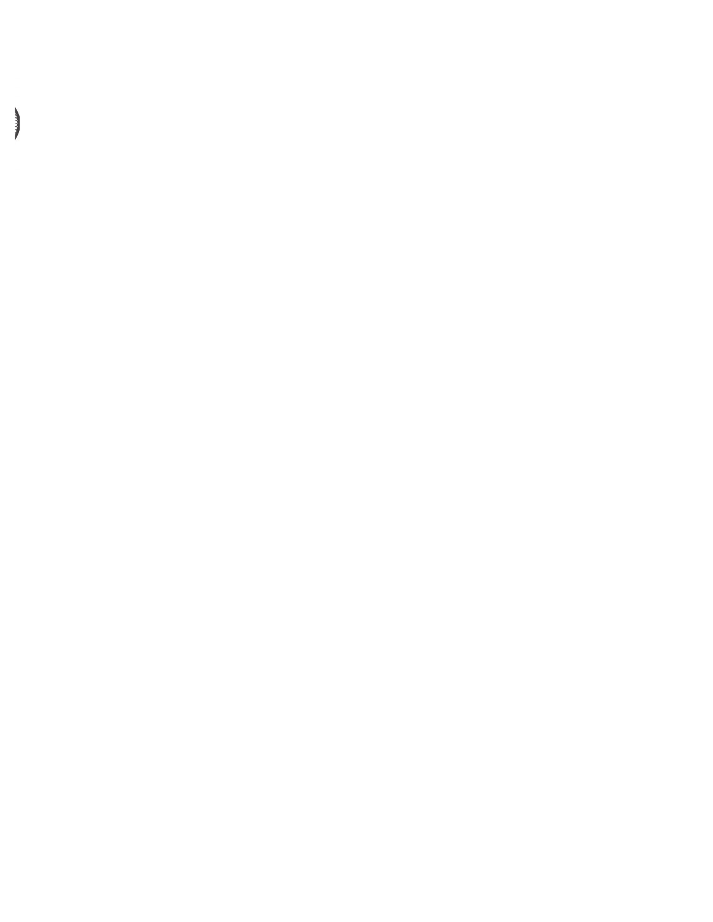**CONTRACTOR**